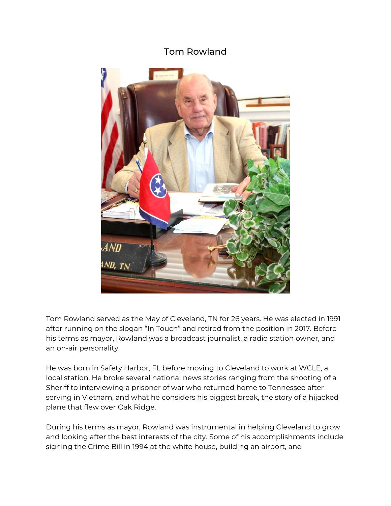## Tom Rowland



Tom Rowland served as the May of Cleveland, TN for 26 years. He was elected in 1991 after running on the slogan "In Touch" and retired from the position in 2017. Before his terms as mayor, Rowland was a broadcast journalist, a radio station owner, and an on-air personality.

He was born in Safety Harbor, FL before moving to Cleveland to work at WCLE, a local station. He broke several national news stories ranging from the shooting of a Sheriff to interviewing a prisoner of war who returned home to Tennessee after serving in Vietnam, and what he considers his biggest break, the story of a hijacked plane that flew over Oak Ridge.

During his terms as mayor, Rowland was instrumental in helping Cleveland to grow and looking after the best interests of the city. Some of his accomplishments include signing the Crime Bill in 1994 at the white house, building an airport, and